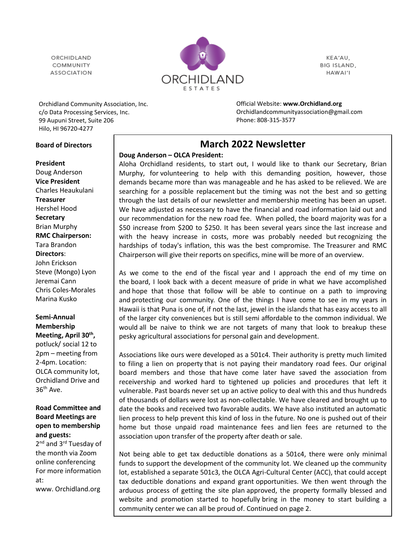ORCHIDI AND COMMUNITY **ASSOCIATION** 



KEA'AU, BIG ISLAND, HAWAI'I

Orchidland Community Association, Inc. c/o Data Processing Services, Inc. 99 Aupuni Street, Suite 206 Hilo, HI 96720-4277

Official Website: **[www.Orchidland.org](http://www.orchidland.org/)** Orchidlandcommunityassociation@gmail.com Phone: 808-315-3577

#### **Board of Directors**

#### **President**

Doug Anderson **Vice President** Charles Heaukulani **Treasurer** Hershel Hood **Secretary** Brian Murphy **RMC Chairperson:** Tara Brandon **Directors**: John Erickson Steve (Mongo) Lyon Jeremai Cann Chris Coles-Morales Marina Kusko

### **Semi-Annual Membership Meeting, April 30th ,**

potluck/ social 12 to 2pm – meeting from 2-4pm. Location: OLCA community lot, Orchidland Drive and 36th Ave.

#### **Road Committee and Board Meetings are open to membership and guests:**

2<sup>nd</sup> and 3<sup>rd</sup> Tuesday of the month via Zoom online conferencing For more information at:

www. Orchidland.org

## **March 2022 Newsletter**

#### **Doug Anderson – OLCA President:**

Aloha Orchidland residents, to start out, I would like to thank our Secretary, Brian Murphy, for volunteering to help with this demanding position, however, those demands became more than was manageable and he has asked to be relieved. We are searching for a possible replacement but the timing was not the best and so getting through the last details of our newsletter and membership meeting has been an upset. We have adjusted as necessary to have the financial and road information laid out and our recommendation for the new road fee. When polled, the board majority was for a \$50 increase from \$200 to \$250. It has been several years since the last increase and with the heavy increase in costs, more was probably needed but recognizing the hardships of today's inflation, this was the best compromise. The Treasurer and RMC Chairperson will give their reports on specifics, mine will be more of an overview.

As we come to the end of the fiscal year and I approach the end of my time on the board, I look back with a decent measure of pride in what we have accomplished and hope that those that follow will be able to continue on a path to improving and protecting our community. One of the things I have come to see in my years in Hawaii is that Puna is one of, if not the last, jewel in the islands that has easy access to all of the larger city conveniences but is still semi affordable to the common individual. We would all be naive to think we are not targets of many that look to breakup these pesky agricultural associations for personal gain and development.

Associations like ours were developed as a 501c4. Their authority is pretty much limited to filing a lien on property that is not paying their mandatory road fees. Our original board members and those that have come later have saved the association from receivership and worked hard to tightened up policies and procedures that left it vulnerable. Past boards never set up an active policy to deal with this and thus hundreds of thousands of dollars were lost as non-collectable. We have cleared and brought up to date the books and received two favorable audits. We have also instituted an automatic lien process to help prevent this kind of loss in the future. No one is pushed out of their home but those unpaid road maintenance fees and lien fees are returned to the association upon transfer of the property after death or sale.

Not being able to get tax deductible donations as a 501c4, there were only minimal funds to support the development of the community lot. We cleaned up the community lot, established a separate 501c3, the OLCA Agri-Cultural Center (ACC), that could accept tax deductible donations and expand grant opportunities. We then went through the arduous process of getting the site plan approved, the property formally blessed and website and promotion started to hopefully bring in the money to start building a community center we can all be proud of. Continued on page 2.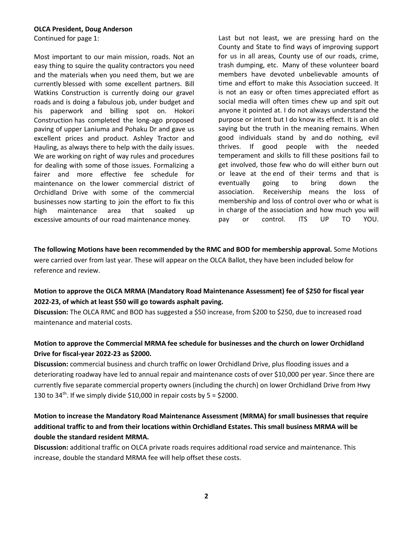Continued for page 1:

Most important to our main mission, roads. Not an easy thing to squire the quality contractors you need and the materials when you need them, but we are currently blessed with some excellent partners. Bill Watkins Construction is currently doing our gravel roads and is doing a fabulous job, under budget and his paperwork and billing spot on. Hokori Construction has completed the long-ago proposed paving of upper Laniuma and Pohaku Dr and gave us excellent prices and product. Ashley Tractor and Hauling, as always there to help with the daily issues. We are working on right of way rules and procedures for dealing with some of those issues. Formalizing a fairer and more effective fee schedule for maintenance on the lower commercial district of Orchidland Drive with some of the commercial businesses now starting to join the effort to fix this high maintenance area that soaked up excessive amounts of our road maintenance money.

Last but not least, we are pressing hard on the County and State to find ways of improving support for us in all areas, County use of our roads, crime, trash dumping, etc. Many of these volunteer board members have devoted unbelievable amounts of time and effort to make this Association succeed. It is not an easy or often times appreciated effort as social media will often times chew up and spit out anyone it pointed at. I do not always understand the purpose or intent but I do know its effect. It is an old saying but the truth in the meaning remains. When good individuals stand by and do nothing, evil thrives. If good people with the needed temperament and skills to fill these positions fail to get involved, those few who do will either burn out or leave at the end of their terms and that is eventually going to bring down the association. Receivership means the loss of membership and loss of control over who or what is in charge of the association and how much you will pay or control. ITS UP TO YOU.

**The following Motions have been recommended by the RMC and BOD for membership approval.** Some Motions were carried over from last year. These will appear on the OLCA Ballot, they have been included below for reference and review.

### **Motion to approve the OLCA MRMA (Mandatory Road Maintenance Assessment) fee of \$250 for fiscal year 2022-23, of which at least \$50 will go towards asphalt paving.**

**Discussion:** The OLCA RMC and BOD has suggested a \$50 increase, from \$200 to \$250, due to increased road maintenance and material costs.

### **Motion to approve the Commercial MRMA fee schedule for businesses and the church on lower Orchidland Drive for fiscal-year 2022-23 as \$2000.**

**Discussion:** commercial business and church traffic on lower Orchidland Drive, plus flooding issues and a deteriorating roadway have led to annual repair and maintenance costs of over \$10,000 per year. Since there are currently five separate commercial property owners (including the church) on lower Orchidland Drive from Hwy 130 to 34<sup>th</sup>. If we simply divide \$10,000 in repair costs by  $5 = $2000$ .

### **Motion to increase the Mandatory Road Maintenance Assessment (MRMA) for small businesses that require additional traffic to and from their locations within Orchidland Estates. This small business MRMA will be double the standard resident MRMA.**

**Discussion:** additional traffic on OLCA private roads requires additional road service and maintenance. This increase, double the standard MRMA fee will help offset these costs.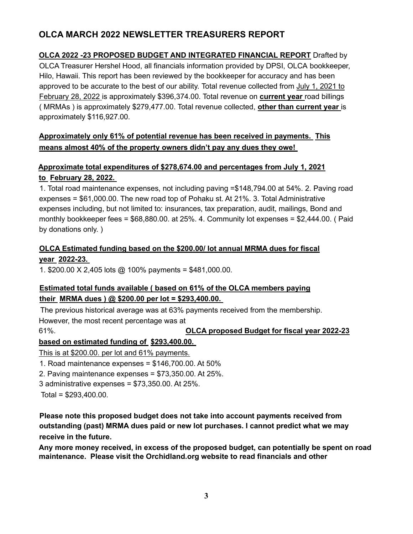## **OLCA MARCH 2022 NEWSLETTER TREASURERS REPORT**

### **OLCA 2022 -23 PROPOSED BUDGET AND INTEGRATED FINANCIAL REPORT** Drafted by OLCA Treasurer Hershel Hood, all financials information provided by DPSI, OLCA bookkeeper, Hilo, Hawaii. This report has been reviewed by the bookkeeper for accuracy and has been approved to be accurate to the best of our ability. Total revenue collected from July 1, 2021 to February 28, 2022 is approximately \$396,374.00. Total revenue on **current year** road billings ( MRMAs ) is approximately \$279,477.00. Total revenue collected, **other than current year** is approximately \$116,927.00.

## **Approximately only 61% of potential revenue has been received in payments. This means almost 40% of the property owners didn't pay any dues they owe!**

## **Approximate total expenditures of \$278,674.00 and percentages from July 1, 2021 to February 28, 2022.**

1. Total road maintenance expenses, not including paving =\$148,794.00 at 54%. 2. Paving road expenses = \$61,000.00. The new road top of Pohaku st. At 21%. 3. Total Administrative expenses including, but not limited to: insurances, tax preparation, audit, mailings, Bond and monthly bookkeeper fees = \$68,880.00. at 25%. 4. Community lot expenses = \$2,444.00. ( Paid by donations only. )

## **OLCA Estimated funding based on the \$200.00/ lot annual MRMA dues for fiscal year 2022-23.**

1. \$200.00 X 2,405 lots @ 100% payments = \$481,000.00.

### **Estimated total funds available ( based on 61% of the OLCA members paying their MRMA dues ) @ \$200.00 per lot = \$293,400.00.**

The previous historical average was at 63% payments received from the membership.

However, the most recent percentage was at

### 61%. **OLCA proposed Budget for fiscal year 2022-23 based on estimated funding of \$293,400.00.**

This is at \$200.00. per lot and 61% payments.

1. Road maintenance expenses = \$146,700.00. At 50%

2. Paving maintenance expenses = \$73,350.00. At 25%.

3 administrative expenses =  $$73,350.00$ . At 25%.

Total = \$293,400.00.

**Please note this proposed budget does not take into account payments received from outstanding (past) MRMA dues paid or new lot purchases. I cannot predict what we may receive in the future.** 

**Any more money received, in excess of the proposed budget, can potentially be spent on road maintenance. Please visit the Orchidland.org website to read financials and other**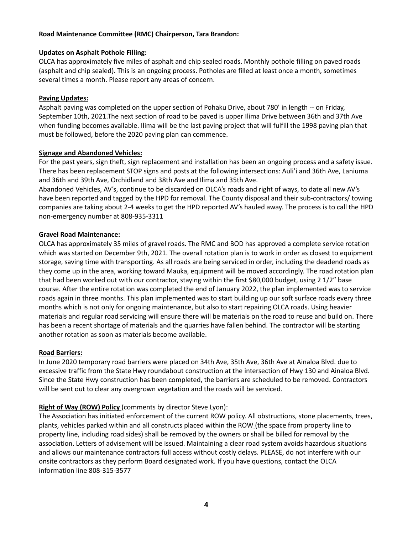#### **Road Maintenance Committee (RMC) Chairperson, Tara Brandon:**

### **Updates on Asphalt Pothole Filling:**

OLCA has approximately five miles of asphalt and chip sealed roads. Monthly pothole filling on paved roads (asphalt and chip sealed). This is an ongoing process. Potholes are filled at least once a month, sometimes several times a month. Please report any areas of concern.

### **Paving Updates:**

Asphalt paving was completed on the upper section of Pohaku Drive, about 780' in length -- on Friday, September 10th, 2021.The next section of road to be paved is upper Ilima Drive between 36th and 37th Ave when funding becomes available. Ilima will be the last paving project that will fulfill the 1998 paving plan that must be followed, before the 2020 paving plan can commence.

### **Signage and Abandoned Vehicles:**

For the past years, sign theft, sign replacement and installation has been an ongoing process and a safety issue. There has been replacement STOP signs and posts at the following intersections: Auli'i and 36th Ave, Laniuma and 36th and 39th Ave, Orchidland and 38th Ave and Ilima and 35th Ave.

Abandoned Vehicles, AV's, continue to be discarded on OLCA's roads and right of ways, to date all new AV's have been reported and tagged by the HPD for removal. The County disposal and their sub-contractors/ towing companies are taking about 2-4 weeks to get the HPD reported AV's hauled away. The process is to call the HPD non-emergency number at 808-935-3311

### **Gravel Road Maintenance:**

OLCA has approximately 35 miles of gravel roads. The RMC and BOD has approved a complete service rotation which was started on December 9th, 2021. The overall rotation plan is to work in order as closest to equipment storage, saving time with transporting. As all roads are being serviced in order, including the deadend roads as they come up in the area, working toward Mauka, equipment will be moved accordingly. The road rotation plan that had been worked out with our contractor, staying within the first \$80,000 budget, using 2 1/2" base course. After the entire rotation was completed the end of January 2022, the plan implemented was to service roads again in three months. This plan implemented was to start building up our soft surface roads every three months which is not only for ongoing maintenance, but also to start repairing OLCA roads. Using heavier materials and regular road servicing will ensure there will be materials on the road to reuse and build on. There has been a recent shortage of materials and the quarries have fallen behind. The contractor will be starting another rotation as soon as materials become available.

#### **Road Barriers:**

In June 2020 temporary road barriers were placed on 34th Ave, 35th Ave, 36th Ave at Ainaloa Blvd. due to excessive traffic from the State Hwy roundabout construction at the intersection of Hwy 130 and Ainaloa Blvd. Since the State Hwy construction has been completed, the barriers are scheduled to be removed. Contractors will be sent out to clear any overgrown vegetation and the roads will be serviced.

### **Right of Way (ROW) Policy** (comments by director Steve Lyon):

The Association has initiated enforcement of the current ROW policy. All obstructions, stone placements, trees, plants, vehicles parked within and all constructs placed within the ROW (the space from property line to property line, including road sides) shall be removed by the owners or shall be billed for removal by the association. Letters of advisement will be issued. Maintaining a clear road system avoids hazardous situations and allows our maintenance contractors full access without costly delays. PLEASE, do not interfere with our onsite contractors as they perform Board designated work. If you have questions, contact the OLCA information lin[e 808-315-3577](tel:8083153577)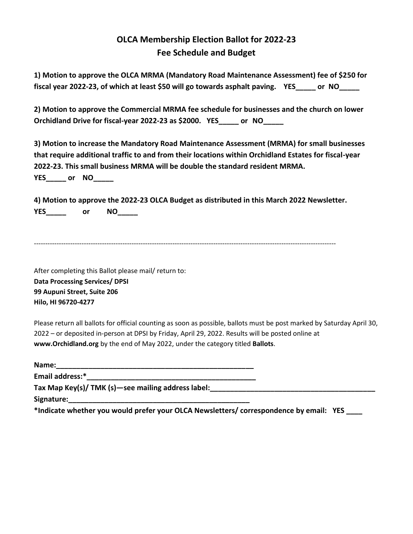# **OLCA Membership Election Ballot for 2022-23 Fee Schedule and Budget**

**1) Motion to approve the OLCA MRMA (Mandatory Road Maintenance Assessment) fee of \$250 for fiscal year 2022-23, of which at least \$50 will go towards asphalt paving. YES\_\_\_\_\_ or NO\_\_\_\_\_**

**2) Motion to approve the Commercial MRMA fee schedule for businesses and the church on lower Orchidland Drive for fiscal-year 2022-23 as \$2000. YES\_\_\_\_\_ or NO\_\_\_\_\_**

**3) Motion to increase the Mandatory Road Maintenance Assessment (MRMA) for small businesses that require additional traffic to and from their locations within Orchidland Estates for fiscal-year 2022-23. This small business MRMA will be double the standard resident MRMA. YES\_\_\_\_\_ or NO\_\_\_\_\_**

**4) Motion to approve the 2022-23 OLCA Budget as distributed in this March 2022 Newsletter. YES\_\_\_\_\_ or NO\_\_\_\_\_**

-------------------------------------------------------------------------------------------------------------------------------------

After completing this Ballot please mail/ return to: **Data Processing Services/ DPSI 99 Aupuni Street, Suite 206 Hilo, HI 96720-4277**

Please return all ballots for official counting as soon as possible, ballots must be post marked by Saturday April 30, 2022 – or deposited in-person at DPSI by Friday, April 29, 2022. Results will be posted online at **[www.Orchidland.org](http://www.orchidland.org/)** by the end of May 2022, under the category titled **Ballots**.

| Name:                                                                                  |  |
|----------------------------------------------------------------------------------------|--|
| Email address:*                                                                        |  |
| Tax Map Key(s)/ TMK (s)—see mailing address label:                                     |  |
| Signature:                                                                             |  |
| *Indicate whether you would prefer your OLCA Newsletters/ correspondence by email: YES |  |